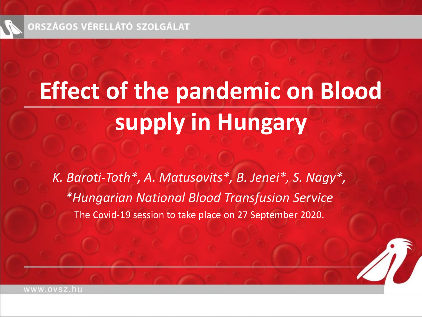

# **Effect of the pandemic on Blood supply in Hungary**

K. Baroti-Toth\*, A. Matusovits\*, B. Jenei\*, S. Nagy\*, *\*Hungarian National Blood Transfusion Service* The Covid-19 session to take place on 27 September 2020.

www.ovsz.hu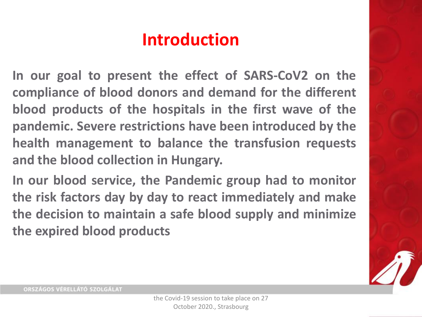### **Introduction**

**In our goal to present the effect of SARS-CoV2 on the compliance of blood donors and demand for the different blood products of the hospitals in the first wave of the pandemic. Severe restrictions have been introduced by the health management to balance the transfusion requests and the blood collection in Hungary.**

**In our blood service, the Pandemic group had to monitor the risk factors day by day to react immediately and make the decision to maintain a safe blood supply and minimize the expired blood products**

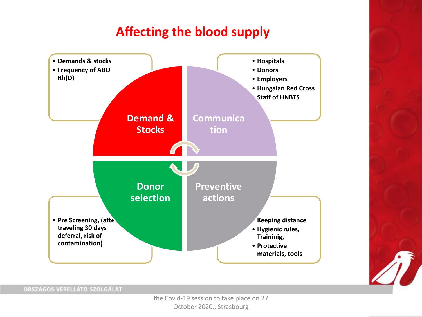#### **Affecting the blood supply**

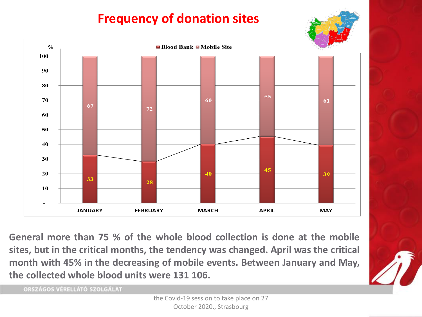### **Frequency of donation sites**





**General more than 75 % of the whole blood collection is done at the mobile sites, but in the critical months, the tendency was changed. April was the critical month with 45% in the decreasing of mobile events. Between January and May, the collected whole blood units were 131 106.**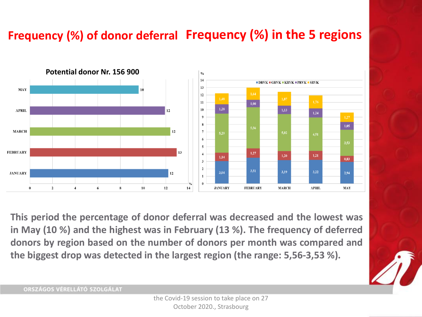#### **Frequency (%) of donor deferral Frequency (%) in the 5 regions**



**This period the percentage of donor deferral was decreased and the lowest was in May (10 %) and the highest was in February (13 %). The frequency of deferred donors by region based on the number of donors per month was compared and the biggest drop was detected in the largest region (the range: 5,56-3,53 %).**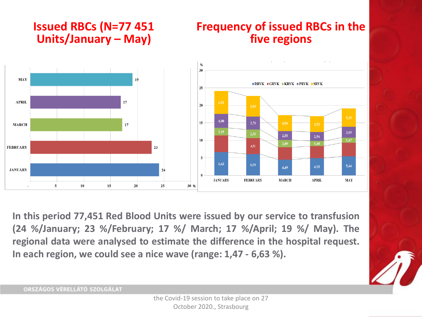#### **Issued RBCs (N=77 451 Units/January – May)**

#### **Frequency of issued RBCs in the five regions**



**In this period 77,451 Red Blood Units were issued by our service to transfusion (24 %/January; 23 %/February; 17 %/ March; 17 %/April; 19 %/ May). The regional data were analysed to estimate the difference in the hospital request. In each region, we could see a nice wave (range: 1,47 - 6,63 %).**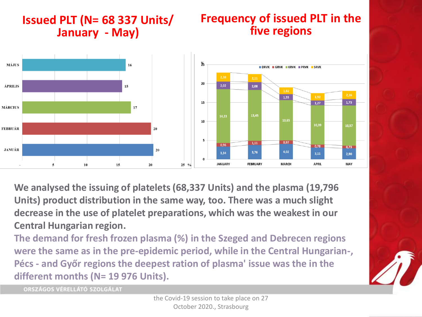#### **Issued PLT (N= 68 337 Units/ January - May) Frequency of issued PLT in the five regions**



**We analysed the issuing of platelets (68,337 Units) and the plasma (19,796 Units) product distribution in the same way, too. There was a much slight decrease in the use of platelet preparations, which was the weakest in our Central Hungarian region.**

**The demand for fresh frozen plasma (%) in the Szeged and Debrecen regions were the same as in the pre-epidemic period, while in the Central Hungarian-, Pécs - and Győr regions the deepest ration of plasma' issue was the in the different months (N= 19 976 Units).**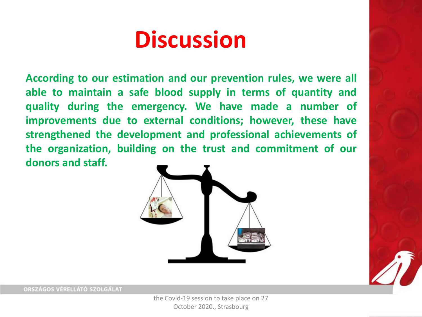# **Discussion**

**According to our estimation and our prevention rules, we were all able to maintain a safe blood supply in terms of quantity and quality during the emergency. We have made a number of improvements due to external conditions; however, these have strengthened the development and professional achievements of the organization, building on the trust and commitment of our donors and staff.**





ORSZÁGOS VÉRELLÁTÓ SZOLGÁLAT

the Covid-19 session to take place on 27 October 2020., Strasbourg